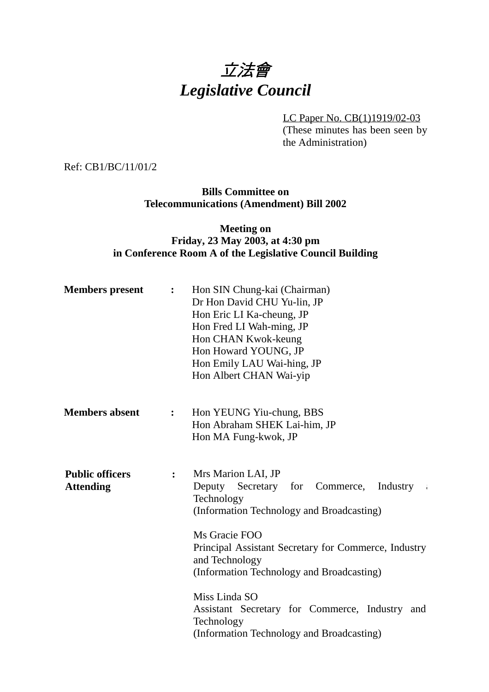# 立法會 *Legislative Council*

LC Paper No. CB(1)1919/02-03 (These minutes has been seen by the Administration)

Ref: CB1/BC/11/01/2

**Bills Committee on Telecommunications (Amendment) Bill 2002**

## **Meeting on Friday, 23 May 2003, at 4:30 pm in Conference Room A of the Legislative Council Building**

| <b>Members</b> present                     | $\ddot{\cdot}$     | Hon SIN Chung-kai (Chairman)<br>Dr Hon David CHU Yu-lin, JP<br>Hon Eric LI Ka-cheung, JP<br>Hon Fred LI Wah-ming, JP<br>Hon CHAN Kwok-keung<br>Hon Howard YOUNG, JP<br>Hon Emily LAU Wai-hing, JP<br>Hon Albert CHAN Wai-yip                                                                                                                                                                                |
|--------------------------------------------|--------------------|-------------------------------------------------------------------------------------------------------------------------------------------------------------------------------------------------------------------------------------------------------------------------------------------------------------------------------------------------------------------------------------------------------------|
| <b>Members absent</b>                      | : $\hfill \bullet$ | Hon YEUNG Yiu-chung, BBS<br>Hon Abraham SHEK Lai-him, JP<br>Hon MA Fung-kwok, JP                                                                                                                                                                                                                                                                                                                            |
| <b>Public officers</b><br><b>Attending</b> | $\ddot{\cdot}$     | Mrs Marion LAI, JP<br>Deputy<br>Secretary for Commerce,<br>Industry<br>- 4<br>Technology<br>(Information Technology and Broadcasting)<br>Ms Gracie FOO<br>Principal Assistant Secretary for Commerce, Industry<br>and Technology<br>(Information Technology and Broadcasting)<br>Miss Linda SO<br>Assistant Secretary for Commerce, Industry and<br>Technology<br>(Information Technology and Broadcasting) |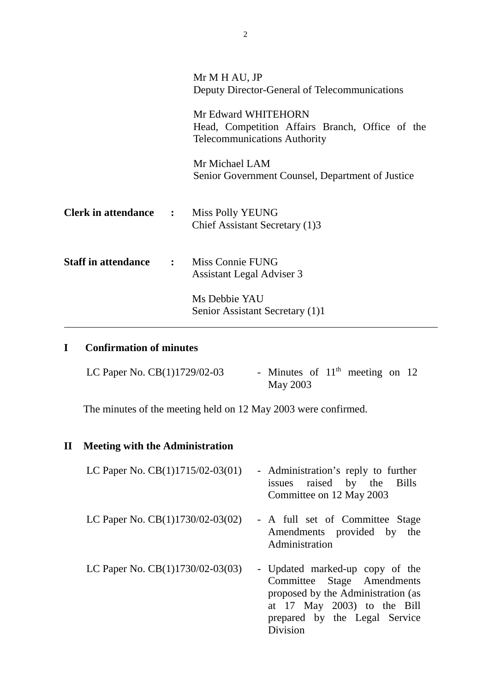|                                | Mr M H AU, JP                                                          |
|--------------------------------|------------------------------------------------------------------------|
|                                | Deputy Director-General of Telecommunications                          |
|                                | Mr Edward WHITEHORN<br>Head, Competition Affairs Branch, Office of the |
|                                | <b>Telecommunications Authority</b>                                    |
|                                | Mr Michael LAM                                                         |
|                                | Senior Government Counsel, Department of Justice                       |
| <b>Clerk in attendance :</b>   | Miss Polly YEUNG                                                       |
|                                | Chief Assistant Secretary (1)3                                         |
| <b>Staff in attendance : :</b> | Miss Connie FUNG                                                       |
|                                | <b>Assistant Legal Adviser 3</b>                                       |
|                                | Ms Debbie YAU                                                          |
|                                | Senior Assistant Secretary (1)1                                        |

## **I Confirmation of minutes**

| LC Paper No. $CB(1)1729/02-03$ | - Minutes of $11th$ meeting on 12 |  |  |  |
|--------------------------------|-----------------------------------|--|--|--|
|                                | May 2003                          |  |  |  |

 $\overline{\phantom{a}}$ 

The minutes of the meeting held on 12 May 2003 were confirmed.

## **II Meeting with the Administration**

| LC Paper No. $CB(1)1715/02-03(01)$ | - Administration's reply to further<br>issues raised by the Bills<br>Committee on 12 May 2003                                                                                      |
|------------------------------------|------------------------------------------------------------------------------------------------------------------------------------------------------------------------------------|
| LC Paper No. $CB(1)1730/02-03(02)$ | - A full set of Committee Stage<br>Amendments provided by the<br>Administration                                                                                                    |
| LC Paper No. $CB(1)1730/02-03(03)$ | - Updated marked-up copy of the<br>Committee Stage Amendments<br>proposed by the Administration (as<br>at $17$ May $2003$ to the Bill<br>prepared by the Legal Service<br>Division |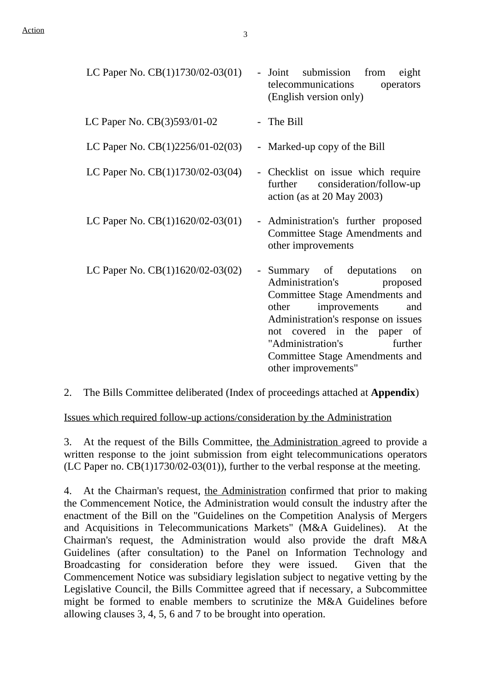| LC Paper No. $CB(1)1730/02-03(01)$ | - Joint submission<br>from<br>eight<br>telecommunications<br>operators<br>(English version only)                                                                                                                                                                                                       |
|------------------------------------|--------------------------------------------------------------------------------------------------------------------------------------------------------------------------------------------------------------------------------------------------------------------------------------------------------|
| LC Paper No. $CB(3)593/01-02$      | - The Bill                                                                                                                                                                                                                                                                                             |
| LC Paper No. $CB(1)2256/01-02(03)$ | - Marked-up copy of the Bill                                                                                                                                                                                                                                                                           |
| LC Paper No. $CB(1)1730/02-03(04)$ | - Checklist on issue which require<br>further consideration/follow-up<br>action (as at $20$ May $2003$ )                                                                                                                                                                                               |
| LC Paper No. $CB(1)1620/02-03(01)$ | - Administration's further proposed<br>Committee Stage Amendments and<br>other improvements                                                                                                                                                                                                            |
| LC Paper No. CB(1)1620/02-03(02)   | - Summary of deputations<br>on<br>Administration's<br>proposed<br>Committee Stage Amendments and<br>improvements<br>other<br>and<br>Administration's response on issues<br>not covered in the paper of<br>"Administration's<br>further<br><b>Committee Stage Amendments and</b><br>other improvements" |

2. The Bills Committee deliberated (Index of proceedings attached at **Appendix**)

Issues which required follow-up actions/consideration by the Administration

3. At the request of the Bills Committee, the Administration agreed to provide a written response to the joint submission from eight telecommunications operators  $(LC$  Paper no.  $CB(1)1730/02-03(01))$ , further to the verbal response at the meeting.

4. At the Chairman's request, the Administration confirmed that prior to making the Commencement Notice, the Administration would consult the industry after the enactment of the Bill on the "Guidelines on the Competition Analysis of Mergers and Acquisitions in Telecommunications Markets" (M&A Guidelines). At the Chairman's request, the Administration would also provide the draft M&A Guidelines (after consultation) to the Panel on Information Technology and Broadcasting for consideration before they were issued. Given that the Commencement Notice was subsidiary legislation subject to negative vetting by the Legislative Council, the Bills Committee agreed that if necessary, a Subcommittee might be formed to enable members to scrutinize the M&A Guidelines before allowing clauses 3, 4, 5, 6 and 7 to be brought into operation.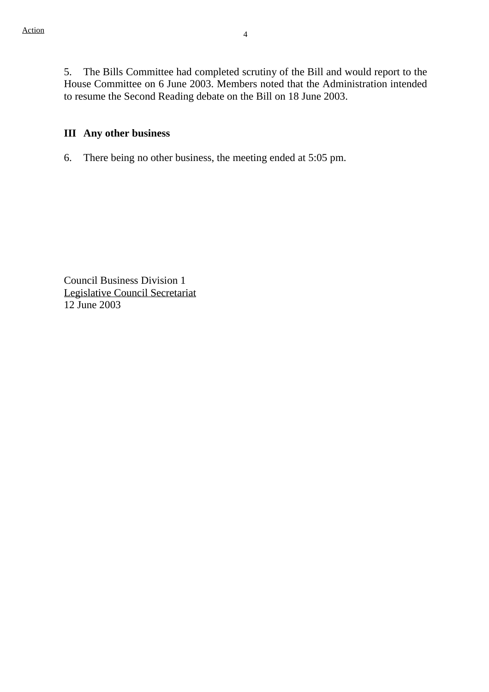5. The Bills Committee had completed scrutiny of the Bill and would report to the House Committee on 6 June 2003. Members noted that the Administration intended to resume the Second Reading debate on the Bill on 18 June 2003.

#### **III Any other business**

6. There being no other business, the meeting ended at 5:05 pm.

Council Business Division 1 Legislative Council Secretariat 12 June 2003